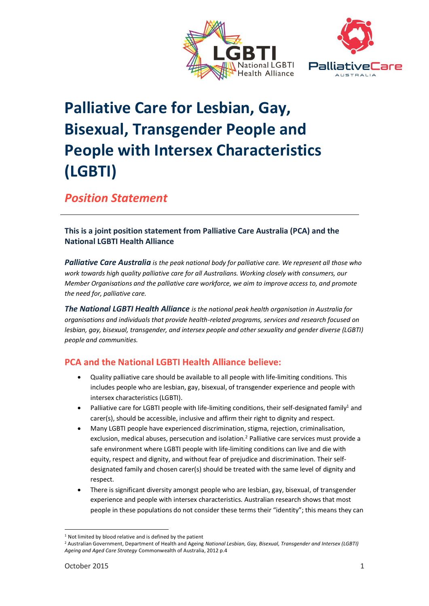



# **Palliative Care for Lesbian, Gay, Bisexual, Transgender People and People with Intersex Characteristics (LGBTI)**

*Position Statement*

#### **This is a joint position statement from Palliative Care Australia (PCA) and the National LGBTI Health Alliance**

*Palliative Care Australia is the peak national body for palliative care. We represent all those who work towards high quality palliative care for all Australians. Working closely with consumers, our Member Organisations and the palliative care workforce, we aim to improve access to, and promote the need for, palliative care.*

*The National LGBTI Health Alliance is the national peak health organisation in Australia for organisations and individuals that provide health-related programs, services and research focused on lesbian, gay, bisexual, transgender, and intersex people and other sexuality and gender diverse (LGBTI) people and communities.*

## **PCA and the National LGBTI Health Alliance believe:**

- Quality palliative care should be available to all people with life-limiting conditions. This includes people who are lesbian, gay, bisexual, of transgender experience and people with intersex characteristics (LGBTI).
- Palliative care for LGBTI people with life-limiting conditions, their self-designated family<sup>1</sup> and carer(s), should be accessible, inclusive and affirm their right to dignity and respect.
- Many LGBTI people have experienced discrimination, stigma, rejection, criminalisation, exclusion, medical abuses, persecution and isolation.<sup>2</sup> Palliative care services must provide a safe environment where LGBTI people with life-limiting conditions can live and die with equity, respect and dignity, and without fear of prejudice and discrimination. Their selfdesignated family and chosen carer(s) should be treated with the same level of dignity and respect.
- There is significant diversity amongst people who are lesbian, gay, bisexual, of transgender experience and people with intersex characteristics. Australian research shows that most people in these populations do not consider these terms their "identity"; this means they can

<sup>-</sup><sup>1</sup> Not limited by blood relative and is defined by the patient

<sup>2</sup> Australian Government, Department of Health and Ageing *National Lesbian, Gay, Bisexual, Transgender and Intersex (LGBTI) Ageing and Aged Care Strategy* Commonwealth of Australia, 2012 p.4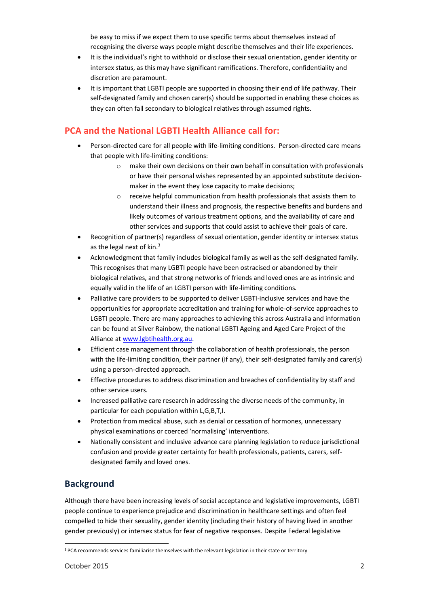be easy to miss if we expect them to use specific terms about themselves instead of recognising the diverse ways people might describe themselves and their life experiences.

- It is the individual's right to withhold or disclose their sexual orientation, gender identity or intersex status, as this may have significant ramifications. Therefore, confidentiality and discretion are paramount.
- It is important that LGBTI people are supported in choosing their end of life pathway. Their self-designated family and chosen carer(s) should be supported in enabling these choices as they can often fall secondary to biological relatives through assumed rights.

## **PCA and the National LGBTI Health Alliance call for:**

- Person-directed care for all people with life-limiting conditions. Person-directed care means that people with life-limiting conditions:
	- o make their own decisions on their own behalf in consultation with professionals or have their personal wishes represented by an appointed substitute decisionmaker in the event they lose capacity to make decisions;
	- o receive helpful communication from health professionals that assists them to understand their illness and prognosis, the respective benefits and burdens and likely outcomes of various treatment options, and the availability of care and other services and supports that could assist to achieve their goals of care.
- Recognition of partner(s) regardless of sexual orientation, gender identity or intersex status as the legal next of kin.<sup>3</sup>
- Acknowledgment that family includes biological family as well as the self-designated family. This recognises that many LGBTI people have been ostracised or abandoned by their biological relatives, and that strong networks of friends and loved ones are as intrinsic and equally valid in the life of an LGBTI person with life-limiting conditions.
- Palliative care providers to be supported to deliver LGBTI-inclusive services and have the opportunities for appropriate accreditation and training for whole-of-service approaches to LGBTI people. There are many approaches to achieving this across Australia and information can be found at Silver Rainbow, the national LGBTI Ageing and Aged Care Project of the Alliance a[t www.lgbtihealth.org.au.](http://www.lgbtihealth.org.au/)
- Efficient case management through the collaboration of health professionals, the person with the life-limiting condition, their partner (if any), their self-designated family and carer(s) using a person-directed approach.
- Effective procedures to address discrimination and breaches of confidentiality by staff and other service users.
- Increased palliative care research in addressing the diverse needs of the community, in particular for each population within L,G,B,T,I.
- Protection from medical abuse, such as denial or cessation of hormones, unnecessary physical examinations or coerced 'normalising' interventions.
- Nationally consistent and inclusive advance care planning legislation to reduce jurisdictional confusion and provide greater certainty for health professionals, patients, carers, selfdesignated family and loved ones.

#### **Background**

Although there have been increasing levels of social acceptance and legislative improvements, LGBTI people continue to experience prejudice and discrimination in healthcare settings and often feel compelled to hide their sexuality, gender identity (including their history of having lived in another gender previously) or intersex status for fear of negative responses. Despite Federal legislative

-

<sup>&</sup>lt;sup>3</sup> PCA recommends services familiarise themselves with the relevant legislation in their state or territory